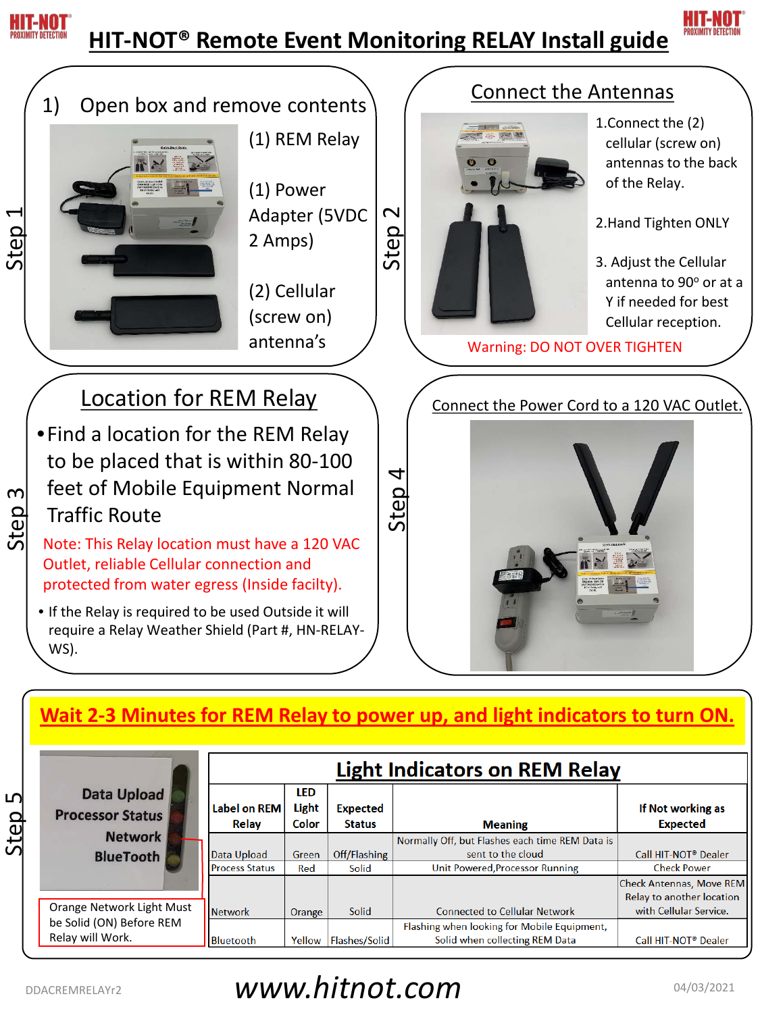

## **HIT-NOT® Remote Event Monitoring RELAY Install guide**





## **Wait 2-3 Minutes for REM Relay to power up, and light indicators to turn ON.**

|          | Data Upload<br><b>Processor Status</b><br><b>Network</b><br><b>BlueTooth</b> | <b>Light Indicators on REM Relay</b> |                       |                                  |                                                                               |                                                              |
|----------|------------------------------------------------------------------------------|--------------------------------------|-----------------------|----------------------------------|-------------------------------------------------------------------------------|--------------------------------------------------------------|
| ഥ<br>Ste |                                                                              | <b>Label on REM</b><br>Relay         | LED<br>Light<br>Color | <b>Expected</b><br><b>Status</b> | <b>Meaning</b>                                                                | If Not working as<br><b>Expected</b>                         |
|          |                                                                              | Data Upload                          | Green                 | Off/Flashing                     | Normally Off, but Flashes each time REM Data is<br>sent to the cloud          | Call HIT-NOT <sup>®</sup> Dealer                             |
|          |                                                                              | <b>Process Status</b>                | Red                   | Solid                            | Unit Powered, Processor Running                                               | <b>Check Power</b>                                           |
|          |                                                                              |                                      |                       |                                  |                                                                               | <b>Check Antennas, Move REM</b><br>Relay to another location |
|          | Orange Network Light Must                                                    | <b>Network</b>                       | Orange                | Solid                            | <b>Connected to Cellular Network</b>                                          | with Cellular Service.                                       |
|          | be Solid (ON) Before REM<br>Relay will Work.                                 | Bluetooth                            | Yellow                | Flashes/Solid                    | Flashing when looking for Mobile Equipment,<br>Solid when collecting REM Data | Call HIT-NOT <sup>®</sup> Dealer                             |